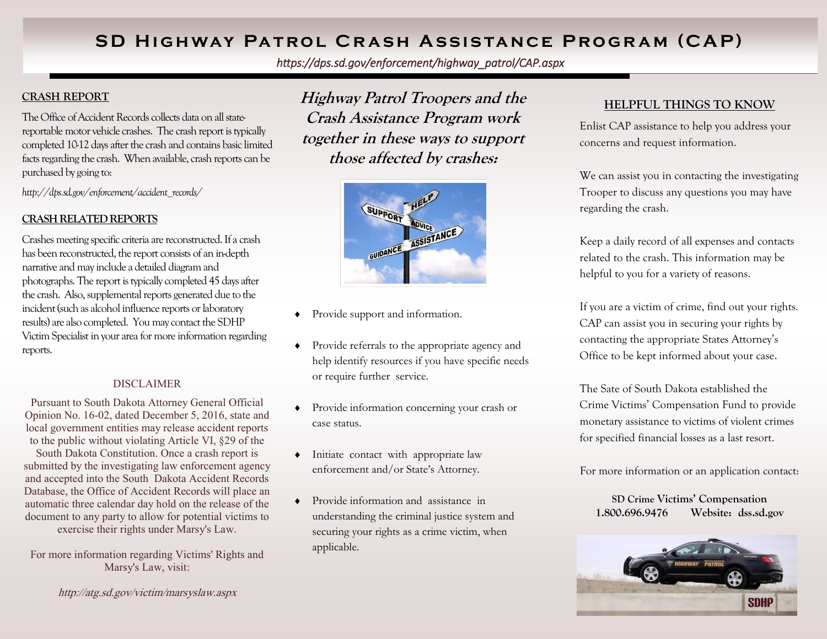# **SD HIGHWAY PATROL CRASH ASSISTANCE PROGRAM (CAP)**

*https://dps.sd.gov/enforcement/highway\_patrol/CAP.aspx*

## **CRASH REPORT**

The Office of Accident Records collects data on all statereportable motor vehicle crashes. The crash report is typically completed 10-12 days after the crash and contains basic limited facts regarding the crash. When available, crash reports can be purchased by going to:

*http://dps.sd.gov/enforcement/accident\_records/* 

### **CRASH RELATED REPORTS**

Crashes meeting specific criteria are reconstructed. If a crash has been reconstructed, the report consists of an in-depth narrative and may include a detailed diagram and photographs. The report is typically completed 45 days after the crash. Also, supplemental reports generated due to the incident (such as alcohol influence reports or laboratory results) are also completed. You may contact the SDHP Victim Specialist in your area for more information regarding reports.

#### DISCLAIMER

Pursuant to South Dakota Attorney General Official Opinion No. 16-02, dated December 5, 2016, state and local government entities may release accident reports to the public without violating Article VI, §29 of the

South Dakota Constitution. Once a crash report is submitted by the investigating law enforcement agency and accepted into the South Dakota Accident Records Database, the Office of Accident Records will place an automatic three calendar day hold on the release of the document to any party to allow for potential victims to exercise their rights under Marsy's Law.

For more information regarding Victims' Rights and Marsy's Law, visit:

http://atg.sd.gov/victim/marsyslaw.aspx

**Highway Patrol Troopers and the Crash Assistance Program work together in these ways to support those affected by crashes:**



- Provide support and information.
- Provide referrals to the appropriate agency and help identify resources if you have specific needs or require further service.
- Provide information concerning your crash or case status.
- $\bullet$  Initiate contact with appropriate law enforcement and/or State's Attorney.
- Provide information and assistance in understanding the criminal justice system and securing your rights as a crime victim, when applicable.

## **HELPFUL THINGS TO KNOW**

Enlist CAP assistance to help you address your concerns and request information.

We can assist you in contacting the investigating Trooper to discuss any questions you may have regarding the crash.

Keep a daily record of all expenses and contacts related to the crash. This information may be helpful to you for a variety of reasons.

If you are a victim of crime, find out your rights. CAP can assist you in securing your rights by contacting the appropriate States Attorney's Office to be kept informed about your case.

The Sate of South Dakota established the Crime Victims' Compensation Fund to provide monetary assistance to victims of violent crimes for specified financial losses as a last resort.

For more information or an application contact:

**SD Crime Victims' Compensation 1.800.696.9476 Website: dss.sd.gov**